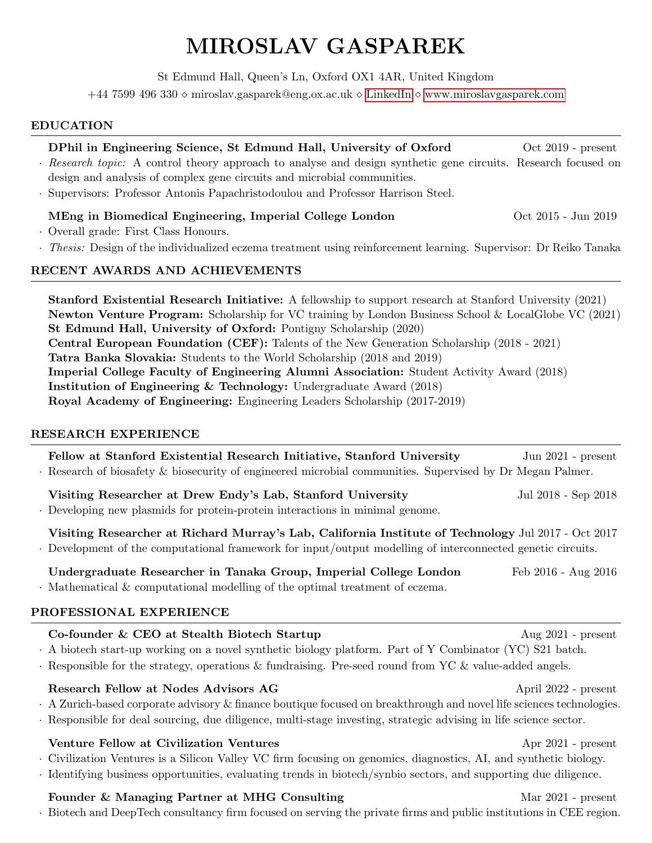# MIROSLAV GASPAREK

St Edmund Hall, Queen's Ln, Oxford OX1 4AR, United Kingdom

<span id="page-0-0"></span> $+44$  7599 496 330  $\circ$  miroslav.gasparek@eng.ox.ac.uk  $\circ$  LinkedIn  $\circ$  www.miroslavgasparek.com

## EDUCATION

# DPhil in Engineering Science, St Edmund Hall, University of Oxford Oct 2019 - present

- · Research topic: A control theory approach to analyse and design synthetic gene circuits. Research focused on design and analysis of complex gene circuits and microbial communities.
- · Supervisors: Professor Antonis Papachristodoulou and Professor Harrison Steel.

## MEng in Biomedical Engineering, Imperial College London **Oct 2015** - Jun 2019

- · Overall grade: First Class Honours.
- · Thesis: Design of the individualized eczema treatment using reinforcement learning. Supervisor: Dr Reiko Tanaka

### RECENT AWARDS AND ACHIEVEMENTS

Stanford Existential Research Initiative: A fellowship to support research at Stanford University (2021) Newton Venture Program: Scholarship for VC training by London Business School & LocalGlobe VC (2021) St Edmund Hall, University of Oxford: Pontigny Scholarship (2020) Central European Foundation (CEF): Talents of the New Generation Scholarship (2018 - 2021) Tatra Banka Slovakia: Students to the World Scholarship (2018 and 2019) Imperial College Faculty of Engineering Alumni Association: Student Activity Award (2018) Institution of Engineering & Technology: Undergraduate Award (2018) Royal Academy of Engineering: Engineering Leaders Scholarship (2017-2019)

## RESEARCH EXPERIENCE

Fellow at Stanford Existential Research Initiative, Stanford University Jun 2021 - present · Research of biosafety & biosecurity of engineered microbial communities. Supervised by Dr Megan Palmer. Visiting Researcher at Drew Endy's Lab, Stanford University Jul 2018 - Sep 2018 · Developing new plasmids for protein-protein interactions in minimal genome. Visiting Researcher at Richard Murray's Lab, California Institute of Technology Jul 2017 - Oct 2017 · Development of the computational framework for input/output modelling of interconnected genetic circuits. Undergraduate Researcher in Tanaka Group, Imperial College London Feb 2016 - Aug 2016 · Mathematical & computational modelling of the optimal treatment of eczema. PROFESSIONAL EXPERIENCE Co-founder & CEO at Stealth Biotech Startup Aug 2021 - present · A biotech start-up working on a novel synthetic biology platform. Part of Y Combinator (YC) S21 batch. · Responsible for the strategy, operations & fundraising. Pre-seed round from YC & value-added angels. Research Fellow at Nodes Advisors AG April 2022 - present · A Zurich-based corporate advisory & finance boutique focused on breakthrough and novel life sciences technologies.

## Venture Fellow at Civilization Ventures Apr 2021 - present

· Civilization Ventures is a Silicon Valley VC firm focusing on genomics, diagnostics, AI, and synthetic biology.

· Identifying business opportunities, evaluating trends in biotech/synbio sectors, and supporting due diligence.

## Founder & Managing Partner at MHG Consulting Mar 2021 - present

· Biotech and DeepTech consultancy firm focused on serving the private firms and public institutions in CEE region.

· Responsible for deal sourcing, due diligence, multi-stage investing, strategic advising in life science sector.